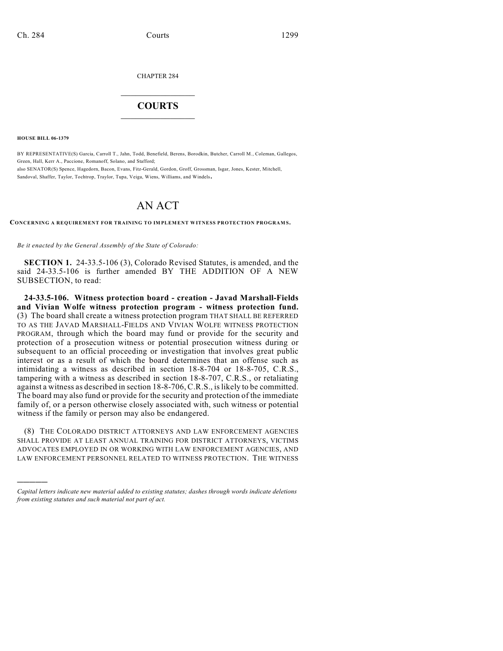CHAPTER 284

## $\mathcal{L}_\text{max}$  . The set of the set of the set of the set of the set of the set of the set of the set of the set of the set of the set of the set of the set of the set of the set of the set of the set of the set of the set **COURTS**  $\_$   $\_$   $\_$   $\_$   $\_$   $\_$   $\_$   $\_$

**HOUSE BILL 06-1379**

)))))

BY REPRESENTATIVE(S) Garcia, Carroll T., Jahn, Todd, Benefield, Berens, Borodkin, Butcher, Carroll M., Coleman, Gallegos, Green, Hall, Kerr A., Paccione, Romanoff, Solano, and Stafford; also SENATOR(S) Spence, Hagedorn, Bacon, Evans, Fitz-Gerald, Gordon, Groff, Grossman, Isgar, Jones, Kester, Mitchell, Sandoval, Shaffer, Taylor, Tochtrop, Traylor, Tupa, Veiga, Wiens, Williams, and Windels.

## AN ACT

CONCERNING A REQUIREMENT FOR TRAINING TO IMPLEMENT WITNESS PROTECTION PROGRAMS.

*Be it enacted by the General Assembly of the State of Colorado:*

**SECTION 1.** 24-33.5-106 (3), Colorado Revised Statutes, is amended, and the said 24-33.5-106 is further amended BY THE ADDITION OF A NEW SUBSECTION, to read:

**24-33.5-106. Witness protection board - creation - Javad Marshall-Fields and Vivian Wolfe witness protection program - witness protection fund.** (3) The board shall create a witness protection program THAT SHALL BE REFERRED TO AS THE JAVAD MARSHALL-FIELDS AND VIVIAN WOLFE WITNESS PROTECTION PROGRAM, through which the board may fund or provide for the security and protection of a prosecution witness or potential prosecution witness during or subsequent to an official proceeding or investigation that involves great public interest or as a result of which the board determines that an offense such as intimidating a witness as described in section 18-8-704 or 18-8-705, C.R.S., tampering with a witness as described in section 18-8-707, C.R.S., or retaliating against a witness as described in section 18-8-706, C.R.S., is likely to be committed. The board may also fund or provide for the security and protection of the immediate family of, or a person otherwise closely associated with, such witness or potential witness if the family or person may also be endangered.

(8) THE COLORADO DISTRICT ATTORNEYS AND LAW ENFORCEMENT AGENCIES SHALL PROVIDE AT LEAST ANNUAL TRAINING FOR DISTRICT ATTORNEYS, VICTIMS ADVOCATES EMPLOYED IN OR WORKING WITH LAW ENFORCEMENT AGENCIES, AND LAW ENFORCEMENT PERSONNEL RELATED TO WITNESS PROTECTION. THE WITNESS

*Capital letters indicate new material added to existing statutes; dashes through words indicate deletions from existing statutes and such material not part of act.*